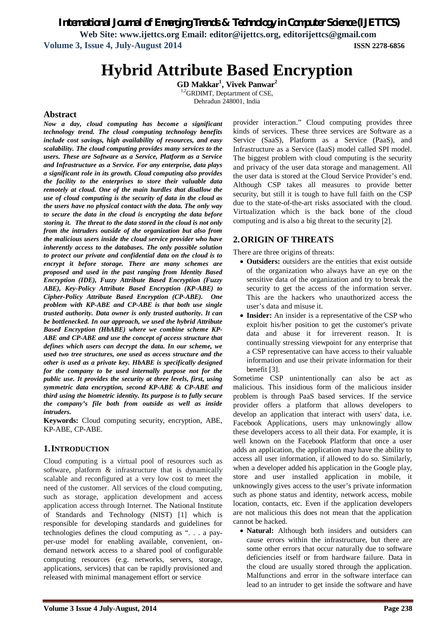*International Journal of Emerging Trends & Technology in Computer Science (IJETTCS)*

**Web Site: www.ijettcs.org Email: editor@ijettcs.org, editorijettcs@gmail.com Volume 3, Issue 4, July-August 2014 ISSN 2278-6856**

# **Hybrid Attribute Based Encryption**

**GD Makkar<sup>1</sup> , Vivek Panwar<sup>2</sup>** <sup>2</sup>GRDIMT, Deptartment of CSE,

Dehradun 248001, India

#### **Abstract**

*Now a day, cloud computing has become a significant technology trend. The cloud computing technology benefits include cost savings, high availability of resources, and easy scalability. The cloud computing provides many services to the users. These are Software as a Service, Platform as a Service and Infrastructure as a Service. For any enterprise, data plays a significant role in its growth. Cloud computing also provides the facility to the enterprises to store their valuable data remotely at cloud. One of the main hurdles that disallow the use of cloud computing is the security of data in the cloud as the users have no physical contact with the data. The only way to secure the data in the cloud is encrypting the data before storing it. The threat to the data stored in the cloud is not only from the intruders outside of the organization but also from the malicious users inside the cloud service provider who have inherently access to the databases. The only possible solution to protect our private and confidential data on the cloud is to encrypt it before storage. There are many schemes are proposed and used in the past ranging from Identity Based Encryption (IDE), Fuzzy Attribute Based Encryption (Fuzzy ABE), Key-Policy Attribute Based Encryption (KP-ABE) to Cipher-Policy Attribute Based Encryption (CP-ABE). One problem with KP-ABE and CP-ABE is that both use single trusted authority. Data owner is only trusted authority. It can be bottlenecked. In our approach, we used the hybrid Attribute Based Encryption (HbABE) where we combine scheme KP-ABE and CP-ABE and use the concept of access structure that defines which users can decrypt the data. In our scheme, we used two tree structures, one used as access structure and the other is used as a private key. HbABE is specifically designed for the company to be used internally purpose not for the public use. It provides the security at three levels, first, using symmetric data encryption, second KP-ABE & CP-ABE and third using the biometric identity. Its purpose is to fully secure the company's file both from outside as well as inside intruders.*

**Keywords:** Cloud computing security, encryption, ABE, KP-ABE, CP-ABE.

#### **1.INTRODUCTION**

Cloud computing is a virtual pool of resources such as software, platform & infrastructure that is dynamically scalable and reconfigured at a very low cost to meet the need of the customer. All services of the cloud computing, such as storage, application development and access application access through Internet. The National Institute of Standards and Technology (NIST) [1] which is responsible for developing standards and guidelines for technologies defines the cloud computing as ". . . a payper-use model for enabling available, convenient, ondemand network access to a shared pool of configurable computing resources (e.g. networks, servers, storage, applications, services) that can be rapidly provisioned and released with minimal management effort or service

provider interaction." Cloud computing provides three kinds of services. These three services are Software as a Service (SaaS), Platform as a Service (PaaS), and Infrastructure as a Service (IaaS) model called SPI model. The biggest problem with cloud computing is the security and privacy of the user data storage and management. All the user data is stored at the Cloud Service Provider's end. Although CSP takes all measures to provide better security, but still it is tough to have full faith on the CSP due to the state-of-the-art risks associated with the cloud. Virtualization which is the back bone of the cloud computing and is also a big threat to the security [2].

### **2.ORIGIN OF THREATS**

There are three origins of threats:

- **Outsiders:** outsiders are the entities that exist outside of the organization who always have an eye on the sensitive data of the organization and try to break the security to get the access of the information server. This are the hackers who unauthorized access the user's data and misuse it.
- Insider: An insider is a representative of the CSP who exploit his/her position to get the customer's private data and abuse it for irreverent reason. It is continually stressing viewpoint for any enterprise that a CSP representative can have access to their valuable information and use their private information for their benefit [3].

Sometime CSP unintentionally can also be act as malicious. This insidious form of the malicious insider problem is through PaaS based services. If the service provider offers a platform that allows developers to develop an application that interact with users' data, i.e. Facebook Applications, users may unknowingly allow these developers access to all their data. For example, it is well known on the Facebook Platform that once a user adds an application, the application may have the ability to access all user information, if allowed to do so. Similarly, when a developer added his application in the Google play, store and user installed application in mobile, it unknowingly gives access to the user's private information such as phone status and identity, network access, mobile location, contacts, etc. Even if the application developers are not malicious this does not mean that the application cannot be hacked.

 **Natural:** Although both insiders and outsiders can cause errors within the infrastructure, but there are some other errors that occur naturally due to software deficiencies itself or from hardware failure. Data in the cloud are usually stored through the application. Malfunctions and error in the software interface can lead to an intruder to get inside the software and have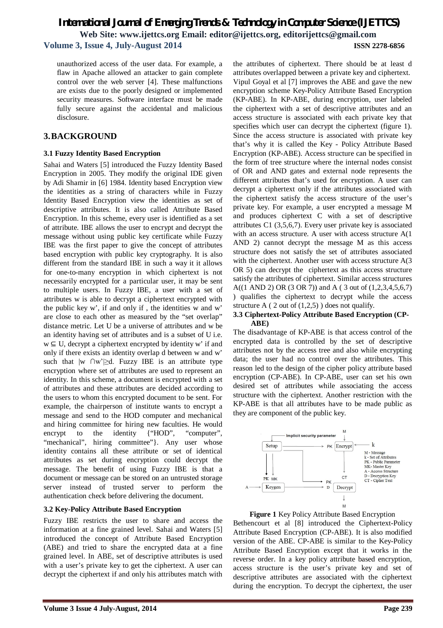unauthorized access of the user data. For example, a flaw in Apache allowed an attacker to gain complete control over the web server [4]. These malfunctions are exists due to the poorly designed or implemented security measures. Software interface must be made fully secure against the accidental and malicious disclosure.

### **3.BACKGROUND**

#### **3.1 Fuzzy Identity Based Encryption**

Sahai and Waters [5] introduced the Fuzzy Identity Based Encryption in 2005. They modify the original IDE given by Adi Shamir in [6] 1984. Identity based Encryption view the identities as a string of characters while in Fuzzy Identity Based Encryption view the identities as set of descriptive attributes. It is also called Attribute Based Encryption. In this scheme, every user is identified as a set of attribute. IBE allows the user to encrypt and decrypt the message without using public key certificate while Fuzzy IBE was the first paper to give the concept of attributes based encryption with public key cryptography. It is also different from the standard IBE in such a way it it allows for one-to-many encryption in which ciphertext is not necessarily encrypted for a particular user, it may be sent to multiple users. In Fuzzy IBE, a user with a set of attributes w is able to decrypt a ciphertext encrypted with the public key w', if and only if , the identities w and w' are close to each other as measured by the "set overlap" distance metric. Let U be a universe of attributes and w be an identity having set of attributes and is a subset of U i.e. w ⊆ U, decrypt a ciphertext encrypted by identity w' if and only if there exists an identity overlap d between w and w' such that  $|w \cap w'| \ge d$ . Fuzzy IBE is an attribute type encryption where set of attributes are used to represent an identity. In this scheme, a document is encrypted with a set of attributes and these attributes are decided according to the users to whom this encrypted document to be sent. For example, the chairperson of institute wants to encrypt a message and send to the HOD computer and mechanical and hiring committee for hiring new faculties. He would encrypt to the identity {"HOD", "computer", "mechanical", hiring committee"}. Any user whose identity contains all these attribute or set of identical attributes as set during encryption could decrypt the message. The benefit of using Fuzzy IBE is that a document or message can be stored on an untrusted storage server instead of trusted server to perform the authentication check before delivering the document.

#### **3.2 Key-Policy Attribute Based Encryption**

Fuzzy IBE restricts the user to share and access the information at a fine grained level. Sahai and Waters [5] introduced the concept of Attribute Based Encryption (ABE) and tried to share the encrypted data at a fine grained level. In ABE, set of descriptive attributes is used with a user's private key to get the ciphertext. A user can decrypt the ciphertext if and only his attributes match with the attributes of ciphertext. There should be at least d attributes overlapped between a private key and ciphertext. Vipul Goyal et al [7] improves the ABE and gave the new encryption scheme Key-Policy Attribute Based Encryption (KP-ABE). In KP-ABE, during encryption, user labeled the ciphertext with a set of descriptive attributes and an access structure is associated with each private key that specifies which user can decrypt the ciphertext (figure 1). Since the access structure is associated with private key that's why it is called the Key - Policy Attribute Based Encryption (KP-ABE). Access structure can be specified in the form of tree structure where the internal nodes consist of OR and AND gates and external node represents the different attributes that's used for encryption. A user can decrypt a ciphertext only if the attributes associated with the ciphertext satisfy the access structure of the user's private key. For example, a user encrypted a message M and produces ciphertext C with a set of descriptive attributes C1 (3,5,6,7). Every user private key is associated with an access structure. A user with access structure A(1 AND 2) cannot decrypt the message M as this access structure does not satisfy the set of attributes associated with the ciphertext. Another user with access structure A(3) OR 5) can decrypt the ciphertext as this access structure satisfy the attributes of ciphertext. Similar access structures A((1 AND 2) OR (3 OR 7)) and A ( 3 out of (1,2,3,4,5,6,7) ) qualifies the ciphertext to decrypt while the access structure A  $(2 \text{ out of } (1,2,5))$  does not qualify.

#### **3.3 Ciphertext-Policy Attribute Based Encryption (CP- ABE)**

The disadvantage of KP-ABE is that access control of the encrypted data is controlled by the set of descriptive attributes not by the access tree and also while encrypting data; the user had no control over the attributes. This reason led to the design of the cipher policy attribute based encryption (CP-ABE). In CP-ABE, user can set his own desired set of attributes while associating the access structure with the ciphertext. Another restriction with the KP-ABE is that all attributes have to be made public as they are component of the public key.



**Figure 1** Key Policy Attribute Based Encryption Bethencourt et al [8] introduced the Ciphertext-Policy Attribute Based Encryption (CP-ABE). It is also modified version of the ABE. CP-ABE is similar to the Key-Policy Attribute Based Encryption except that it works in the reverse order. In a key policy attribute based encryption, access structure is the user's private key and set of descriptive attributes are associated with the ciphertext during the encryption. To decrypt the ciphertext, the user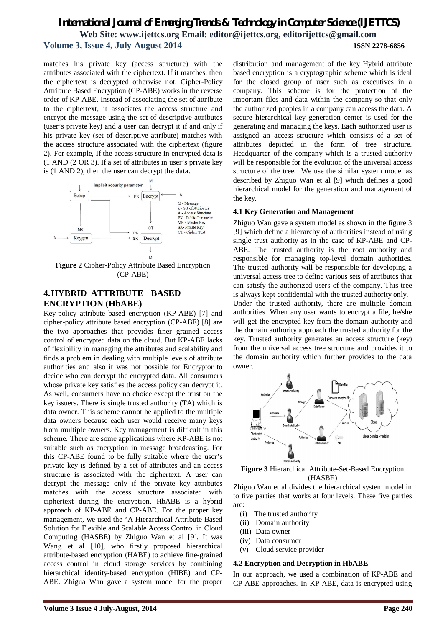matches his private key (access structure) with the attributes associated with the ciphertext. If it matches, then the ciphertext is decrypted otherwise not. Cipher-Policy Attribute Based Encryption (CP-ABE) works in the reverse order of KP-ABE. Instead of associating the set of attribute to the ciphertext, it associates the access structure and encrypt the message using the set of descriptive attributes (user's private key) and a user can decrypt it if and only if his private key (set of descriptive attribute) matches with the access structure associated with the ciphertext (figure 2). For example, If the access structure in encrypted data is (1 AND (2 OR 3). If a set of attributes in user's private key is (1 AND 2), then the user can decrypt the data.



(CP-ABE)

### **4.HYBRID ATTRIBUTE BASED ENCRYPTION (HbABE)**

Key-policy attribute based encryption (KP-ABE) [7] and cipher-policy attribute based encryption (CP-ABE) [8] are the two approaches that provides finer grained access control of encrypted data on the cloud. But KP-ABE lacks of flexibility in managing the attributes and scalability and finds a problem in dealing with multiple levels of attribute authorities and also it was not possible for Encryptor to decide who can decrypt the encrypted data. All consumers whose private key satisfies the access policy can decrypt it. As well, consumers have no choice except the trust on the key issuers. There is single trusted authority (TA) which is data owner. This scheme cannot be applied to the multiple data owners because each user would receive many keys from multiple owners. Key management is difficult in this scheme. There are some applications where KP-ABE is not suitable such as encryption in message broadcasting. For this CP-ABE found to be fully suitable where the user's private key is defined by a set of attributes and an access structure is associated with the ciphertext. A user can decrypt the message only if the private key attributes matches with the access structure associated with ciphertext during the encryption. HbABE is a hybrid approach of KP-ABE and CP-ABE. For the proper key management, we used the "A Hierarchical Attribute-Based Solution for Flexible and Scalable Access Control in Cloud Computing (HASBE) by Zhiguo Wan et al [9]. It was Wang et al [10], who firstly proposed hierarchical attribute-based encryption (HABE) to achieve fine-grained access control in cloud storage services by combining hierarchical identity-based encryption (HIBE) and CP-ABE. Zhigua Wan gave a system model for the proper

distribution and management of the key Hybrid attribute based encryption is a cryptographic scheme which is ideal for the closed group of user such as executives in a company. This scheme is for the protection of the important files and data within the company so that only the authorized peoples in a company can access the data. A secure hierarchical key generation center is used for the generating and managing the keys. Each authorized user is assigned an access structure which consists of a set of attributes depicted in the form of tree structure. Headquarter of the company which is a trusted authority will be responsible for the evolution of the universal access structure of the tree. We use the similar system model as described by Zhiguo Wan et al [9] which defines a good hierarchical model for the generation and management of the key.

#### **4.1 Key Generation and Management**

Zhiguo Wan gave a system model as shown in the figure 3 [9] which define a hierarchy of authorities instead of using single trust authority as in the case of KP-ABE and CP-ABE. The trusted authority is the root authority and responsible for managing top-level domain authorities. The trusted authority will be responsible for developing a universal access tree to define various sets of attributes that can satisfy the authorized users of the company. This tree is always kept confidential with the trusted authority only.

Under the trusted authority, there are multiple domain authorities. When any user wants to encrypt a file, he/she will get the encrypted key from the domain authority and the domain authority approach the trusted authority for the key. Trusted authority generates an access structure (key) from the universal access tree structure and provides it to the domain authority which further provides to the data owner.



**Figure 3** Hierarchical Attribute-Set-Based Encryption (HASBE)

Zhiguo Wan et al divides the hierarchical system model in to five parties that works at four levels. These five parties are:

- (i) The trusted authority
- (ii) Domain authority
- (iii) Data owner
- (iv) Data consumer
- (v) Cloud service provider

#### **4.2 Encryption and Decryption in HbABE**

In our approach, we used a combination of KP-ABE and CP-ABE approaches. In KP-ABE, data is encrypted using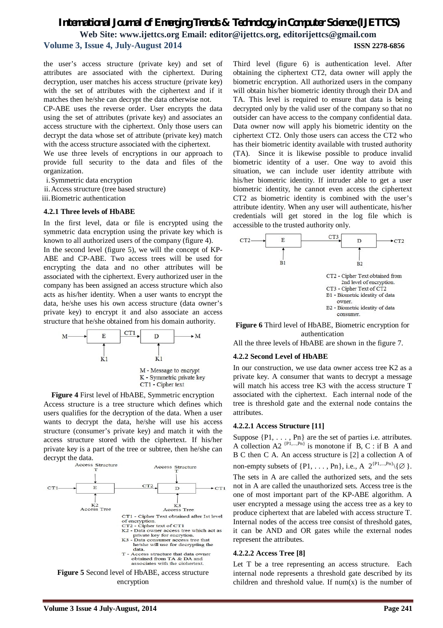the user's access structure (private key) and set of attributes are associated with the ciphertext. During decryption, user matches his access structure (private key) with the set of attributes with the ciphertext and if it matches then he/she can decrypt the data otherwise not.

CP-ABE uses the reverse order. User encrypts the data using the set of attributes (private key) and associates an access structure with the ciphertext. Only those users can decrypt the data whose set of attribute (private key) match with the access structure associated with the ciphertext.

We use three levels of encryptions in our approach to provide full security to the data and files of the organization.

i.Symmetric data encryption

- ii.Access structure (tree based structure)
- iii.Biometric authentication

#### **4.2.1 Three levels of HbABE**

In the first level, data or file is encrypted using the symmetric data encryption using the private key which is known to all authorized users of the company (figure 4).

In the second level (figure 5), we will the concept of KP-ABE and CP-ABE. Two access trees will be used for encrypting the data and no other attributes will be associated with the ciphertext. Every authorized user in the company has been assigned an access structure which also acts as his/her identity. When a user wants to encrypt the data, he/she uses his own access structure (data owner's private key) to encrypt it and also associate an access structure that he/she obtained from his domain authority.



**Figure 4** First level of HbABE, Symmetric encryption Access structure is a tree structure which defines which users qualifies for the decryption of the data. When a user wants to decrypt the data, he/she will use his access structure (consumer's private key) and match it with the access structure stored with the ciphertext. If his/her private key is a part of the tree or subtree, then he/she can decrypt the data.<br>Access Structure



Third level (figure 6) is authentication level. After obtaining the ciphertext CT2, data owner will apply the biometric encryption. All authorized users in the company will obtain his/her biometric identity through their DA and TA. This level is required to ensure that data is being decrypted only by the valid user of the company so that no outsider can have access to the company confidential data. Data owner now will apply his biometric identity on the ciphertext CT2. Only those users can access the CT2 who has their biometric identity available with trusted authority (TA). Since it is likewise possible to produce invalid biometric identity of a user. One way to avoid this situation, we can include user identity attribute with his/her biometric identity. If intruder able to get a user biometric identity, he cannot even access the ciphertext CT2 as biometric identity is combined with the user's attribute identity. When any user will authenticate, his/her credentials will get stored in the log file which is accessible to the trusted authority only.



**Figure 6** Third level of HbABE, Biometric encryption for authentication

All the three levels of HbABE are shown in the figure 7.

#### **4.2.2 Second Level of HbABE**

In our construction, we use data owner access tree K2 as a private key. A consumer that wants to decrypt a message will match his access tree K3 with the access structure T associated with the ciphertext. Each internal node of the tree is threshold gate and the external node contains the attributes.

#### **4.2.2.1 Access Structure [11]**

Suppose  $\{P1, \ldots, Pn\}$  are the set of parties i.e. attributes. A collection A2<sup>{P1,...,Pn}</sup> is monotone if B, C : if B A and B C then C A. An access structure is [2] a collection A of non-empty subsets of  $\{P1, \ldots, Pn\}$ , i.e., A  $2^{\{P1, \ldots, Pn\}}\setminus \{\emptyset\}$ .

The sets in A are called the authorized sets, and the sets not in A are called the unauthorized sets*.* Access tree is the one of most important part of the KP-ABE algorithm. A user encrypted a message using the access tree as a key to produce ciphertext that are labeled with access structure T. Internal nodes of the access tree consist of threshold gates, it can be AND and OR gates while the external nodes represent the attributes.

#### **4.2.2.2 Access Tree [8]**

Let T be a tree representing an access structure. Each internal node represents a threshold gate described by its children and threshold value. If  $num(x)$  is the number of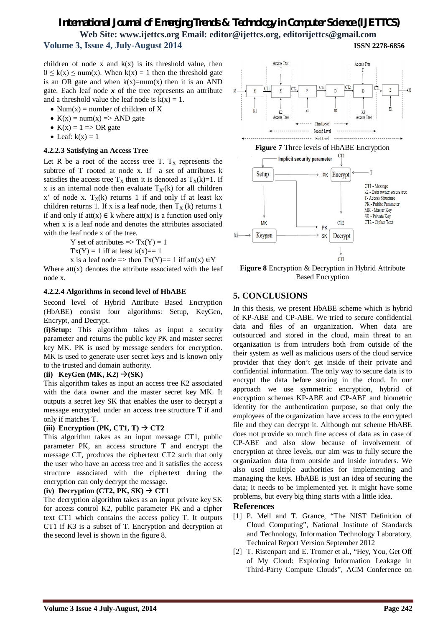children of node x and  $k(x)$  is its threshold value, then  $0 \leq k(x) \leq \text{num}(x)$ . When  $k(x) = 1$  then the threshold gate is an OR gate and when  $k(x)=num(x)$  then it is an AND gate. Each leaf node  $x$  of the tree represents an attribute and a threshold value the leaf node is  $k(x) = 1$ .

- Num(x) = number of children of X
- $K(x) = num(x) \Rightarrow AND gate$
- $K(x) = 1 \Rightarrow OR$  gate
- Leaf:  $k(x) = 1$

#### **4.2.2.3 Satisfying an Access Tree**

Let R be a root of the access tree T.  $T_x$  represents the subtree of T rooted at node x. If a set of attributes k satisfies the access tree  $T_X$  then it is denoted as  $T_X(k)=1$ . If x is an internal node then evaluate  $T_X(k)$  for all children x' of node x.  $T_X(k)$  returns 1 if and only if at least kx children returns 1. If x is a leaf node, then  $T_X(k)$  returns 1 if and only if  $att(x) \in k$  where  $att(x)$  is a function used only when x is a leaf node and denotes the attributes associated with the leaf node x of the tree.

Y set of attributes  $\Rightarrow$  Tx(Y) = 1

 $Tx(Y) = 1$  iff at least  $k(x) == 1$ 

x is a leaf node => then  $Tx(Y) == 1$  iff att $(x) \in Y$ 

Where  $att(x)$  denotes the attribute associated with the leaf node x.

#### **4.2.2.4 Algorithms in second level of HbABE**

Second level of Hybrid Attribute Based Encryption (HbABE) consist four algorithms: Setup, KeyGen, Encrypt, and Decrypt.

**(i)Setup:** This algorithm takes as input a security parameter and returns the public key PK and master secret key MK. PK is used by message senders for encryption. MK is used to generate user secret keys and is known only to the trusted and domain authority.

#### (ii) **KeyGen** (M**K**, **K2**)  $\rightarrow$  (S**K**)

This algorithm takes as input an access tree K2 associated with the data owner and the master secret key MK. It outputs a secret key SK that enables the user to decrypt a message encrypted under an access tree structure T if and only if matches T.

#### (iii) **Encryption** (PK, CT1, T)  $\rightarrow$  CT2

This algorithm takes as an input message CT1, public parameter PK, an access structure T and encrypt the message CT, produces the ciphertext CT2 such that only the user who have an access tree and it satisfies the access structure associated with the ciphertext during the encryption can only decrypt the message.

#### $(iv)$  **Decryption**  $(CT2, PK, SK) \rightarrow CT1$

The decryption algorithm takes as an input private key SK for access control K2, public parameter PK and a cipher text CT1 which contains the access policy T. It outputs CT1 if K3 is a subset of T. Encryption and decryption at the second level is shown in the figure 8.



**Figure 8** Encryption & Decryption in Hybrid Attribute Based Encryption

#### **5. CONCLUSIONS**

In this thesis, we present HbABE scheme which is hybrid of KP-ABE and CP-ABE. We tried to secure confidential data and files of an organization. When data are outsourced and stored in the cloud, main threat to an organization is from intruders both from outside of the their system as well as malicious users of the cloud service provider that they don't get inside of their private and confidential information. The only way to secure data is to encrypt the data before storing in the cloud. In our approach we use symmetric encryption, hybrid of encryption schemes KP-ABE and CP-ABE and biometric identity for the authentication purpose, so that only the employees of the organization have access to the encrypted file and they can decrypt it. Although out scheme HbABE does not provide so much fine access of data as in case of CP-ABE and also slow because of involvement of encryption at three levels, our aim was to fully secure the organization data from outside and inside intruders. We also used multiple authorities for implementing and managing the keys. HbABE is just an idea of securing the data; it needs to be implemented yet. It might have some problems, but every big thing starts with a little idea.

#### **References**

- [1] P. Mell and T. Grance, "The NIST Definition of Cloud Computing", National Institute of Standards and Technology, Information Technology Laboratory, Technical Report Version September 2012
- [2] T. Ristenpart and E. Tromer et al., "Hey, You, Get Off of My Cloud: Exploring Information Leakage in Third-Party Compute Clouds", ACM Conference on